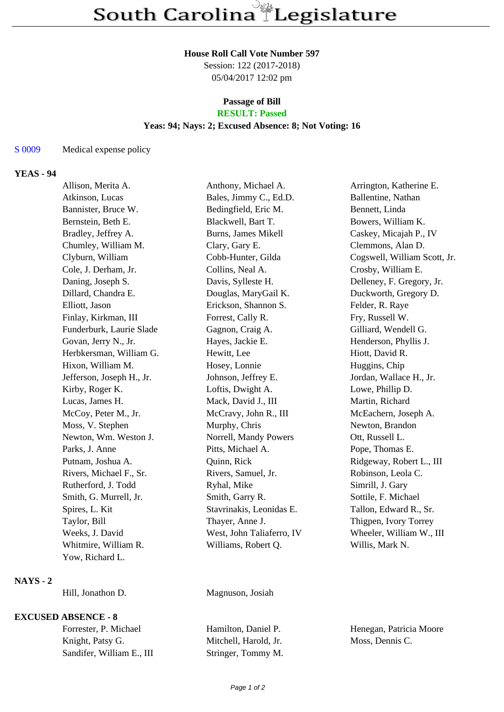### **House Roll Call Vote Number 597**

Session: 122 (2017-2018) 05/04/2017 12:02 pm

### **Passage of Bill RESULT: Passed**

### **Yeas: 94; Nays: 2; Excused Absence: 8; Not Voting: 16**

## S 0009 Medical expense policy

# **YEAS - 94**

| Allison, Merita A.        | Anthony, Michael A.       | Arrington, Katherine E.      |
|---------------------------|---------------------------|------------------------------|
| Atkinson, Lucas           | Bales, Jimmy C., Ed.D.    | Ballentine, Nathan           |
| Bannister, Bruce W.       | Bedingfield, Eric M.      | Bennett, Linda               |
| Bernstein, Beth E.        | Blackwell, Bart T.        | Bowers, William K.           |
| Bradley, Jeffrey A.       | Burns, James Mikell       | Caskey, Micajah P., IV       |
| Chumley, William M.       | Clary, Gary E.            | Clemmons, Alan D.            |
| Clyburn, William          | Cobb-Hunter, Gilda        | Cogswell, William Scott, Jr. |
| Cole, J. Derham, Jr.      | Collins, Neal A.          | Crosby, William E.           |
| Daning, Joseph S.         | Davis, Sylleste H.        | Delleney, F. Gregory, Jr.    |
| Dillard, Chandra E.       | Douglas, MaryGail K.      | Duckworth, Gregory D.        |
| Elliott, Jason            | Erickson, Shannon S.      | Felder, R. Raye              |
| Finlay, Kirkman, III      | Forrest, Cally R.         | Fry, Russell W.              |
| Funderburk, Laurie Slade  | Gagnon, Craig A.          | Gilliard, Wendell G.         |
| Govan, Jerry N., Jr.      | Hayes, Jackie E.          | Henderson, Phyllis J.        |
| Herbkersman, William G.   | Hewitt, Lee               | Hiott, David R.              |
| Hixon, William M.         | Hosey, Lonnie             | Huggins, Chip                |
| Jefferson, Joseph H., Jr. | Johnson, Jeffrey E.       | Jordan, Wallace H., Jr.      |
| Kirby, Roger K.           | Loftis, Dwight A.         | Lowe, Phillip D.             |
| Lucas, James H.           | Mack, David J., III       | Martin, Richard              |
| McCoy, Peter M., Jr.      | McCravy, John R., III     | McEachern, Joseph A.         |
| Moss, V. Stephen          | Murphy, Chris             | Newton, Brandon              |
| Newton, Wm. Weston J.     | Norrell, Mandy Powers     | Ott, Russell L.              |
| Parks, J. Anne            | Pitts, Michael A.         | Pope, Thomas E.              |
| Putnam, Joshua A.         | Quinn, Rick               | Ridgeway, Robert L., III     |
| Rivers, Michael F., Sr.   | Rivers, Samuel, Jr.       | Robinson, Leola C.           |
| Rutherford, J. Todd       | Ryhal, Mike               | Simrill, J. Gary             |
| Smith, G. Murrell, Jr.    | Smith, Garry R.           | Sottile, F. Michael          |
| Spires, L. Kit            | Stavrinakis, Leonidas E.  | Tallon, Edward R., Sr.       |
| Taylor, Bill              | Thayer, Anne J.           | Thigpen, Ivory Torrey        |
| Weeks, J. David           | West, John Taliaferro, IV | Wheeler, William W., III     |
| Whitmire, William R.      | Williams, Robert Q.       | Willis, Mark N.              |
| Yow, Richard L.           |                           |                              |

### **NAYS - 2**

Hill, Jonathon D. Magnuson, Josiah

## **EXCUSED ABSENCE - 8**

| Forrester, P. Michael     | Hamilton, Daniel P.   | Hε |
|---------------------------|-----------------------|----|
| Knight, Patsy G.          | Mitchell, Harold, Jr. | M  |
| Sandifer, William E., III | Stringer, Tommy M.    |    |

enegan, Patricia Moore koss, Dennis C.